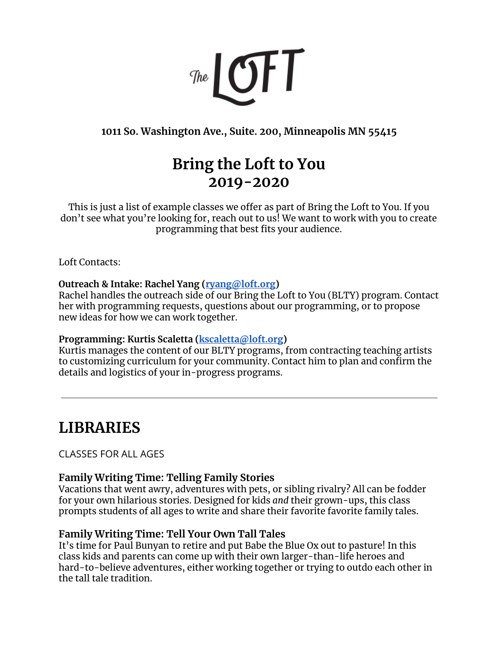

**1011 So. Washington Ave., Suite. 200, Minneapolis MN 55415**

# **Bring the Loft to You 2019-2020**

This is just a list of example classes we offer as part of Bring the Loft to You. If you don't see what you're looking for, reach out to us! We want to work with you to create programming that best fits your audience.

Loft Contacts:

# **Outreach & Intake: Rachel Yang ([ryang@loft.org](mailto:ryang@loft.org))**

Rachel handles the outreach side of our Bring the Loft to You (BLTY) program. Contact her with programming requests, questions about our programming, or to propose new ideas for how we can work together.

# **Programming: Kurtis Scaletta [\(kscaletta@loft.org](mailto:kscaletta@loft.org))**

Kurtis manages the content of our BLTY programs, from contracting teaching artists to customizing curriculum for your community. Contact him to plan and confirm the details and logistics of your in-progress programs.

# **LIBRARIES**

CLASSES FOR ALL AGES

# **Family Writing Time: Telling Family Stories**

Vacations that went awry, adventures with pets, or sibling rivalry? All can be fodder for your own hilarious stories. Designed for kids *and* their grown-ups, this class prompts students of all ages to write and share their favorite favorite family tales.

# **Family Writing Time: Tell Your Own Tall Tales**

It's time for Paul Bunyan to retire and put Babe the Blue Ox out to pasture! In this class kids and parents can come up with their own larger-than-life heroes and hard-to-believe adventures, either working together or trying to outdo each other in the tall tale tradition.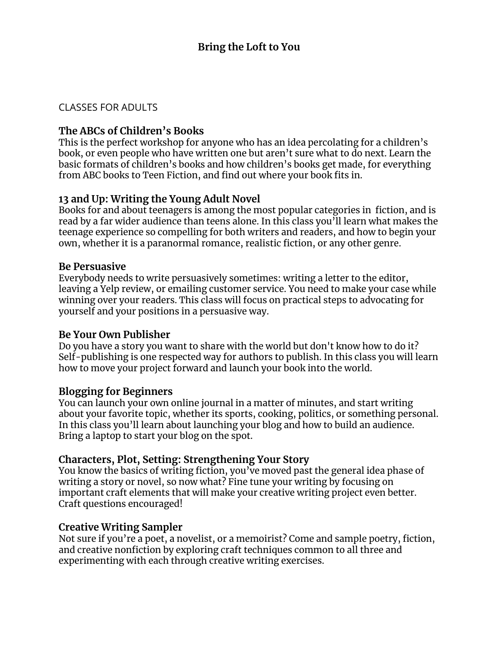## CLASSES FOR ADULTS

# **The ABCs of Children's Books**

This is the perfect workshop for anyone who has an idea percolating for a children's book, or even people who have written one but aren't sure what to do next. Learn the basic formats of children's books and how children's books get made, for everything from ABC books to Teen Fiction, and find out where your book fits in.

# **13 and Up: Writing the Young Adult Novel**

Books for and about teenagers is among the most popular categories in fiction, and is read by a far wider audience than teens alone. In this class you'll learn what makes the teenage experience so compelling for both writers and readers, and how to begin your own, whether it is a paranormal romance, realistic fiction, or any other genre.

#### **Be Persuasive**

Everybody needs to write persuasively sometimes: writing a letter to the editor, leaving a Yelp review, or emailing customer service. You need to make your case while winning over your readers. This class will focus on practical steps to advocating for yourself and your positions in a persuasive way.

#### **Be Your Own Publisher**

Do you have a story you want to share with the world but don't know how to do it? Self-publishing is one respected way for authors to publish. In this class you will learn how to move your project forward and launch your book into the world.

## **Blogging for Beginners**

You can launch your own online journal in a matter of minutes, and start writing about your favorite topic, whether its sports, cooking, politics, or something personal. In this class you'll learn about launching your blog and how to build an audience. Bring a laptop to start your blog on the spot.

## **Characters, Plot, Setting: Strengthening Your Story**

You know the basics of writing fiction, you've moved past the general idea phase of writing a story or novel, so now what? Fine tune your writing by focusing on important craft elements that will make your creative writing project even better. Craft questions encouraged!

## **Creative Writing Sampler**

Not sure if you're a poet, a novelist, or a memoirist? Come and sample poetry, fiction, and creative nonfiction by exploring craft techniques common to all three and experimenting with each through creative writing exercises.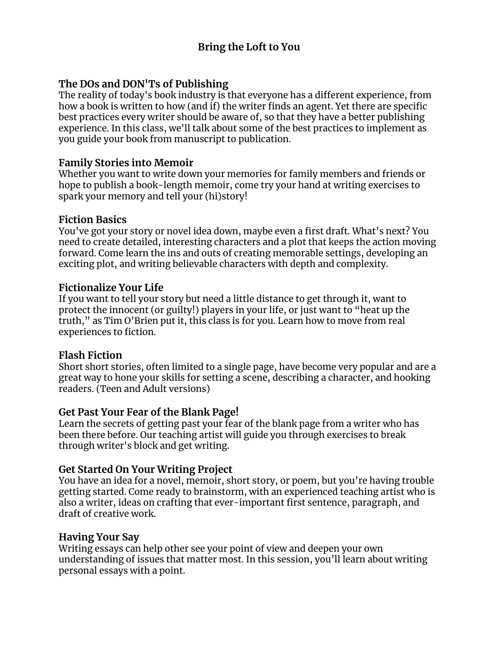# **The DOs and DON'Ts of Publishing**

The reality of today's book industry is that everyone has a different experience, from how a book is written to how (and if) the writer finds an agent. Yet there are specific best practices every writer should be aware of, so that they have a better publishing experience. In this class, we'll talk about some of the best practices to implement as you guide your book from manuscript to publication.

## **Family Stories into Memoir**

Whether you want to write down your memories for family members and friends or hope to publish a book-length memoir, come try your hand at writing exercises to spark your memory and tell your (hi)story!

# **Fiction Basics**

You've got your story or novel idea down, maybe even a first draft. What's next? You need to create detailed, interesting characters and a plot that keeps the action moving forward. Come learn the ins and outs of creating memorable settings, developing an exciting plot, and writing believable characters with depth and complexity.

# **Fictionalize Your Life**

If you want to tell your story but need a little distance to get through it, want to protect the innocent (or guilty!) players in your life, or just want to "heat up the truth," as Tim O'Brien put it, this class is for you. Learn how to move from real experiences to fiction.

## **Flash Fiction**

Short short stories, often limited to a single page, have become very popular and are a great way to hone your skills for setting a scene, describing a character, and hooking readers. (Teen and Adult versions)

# **Get Past Your Fear of the Blank Page!**

Learn the secrets of getting past your fear of the blank page from a writer who has been there before. Our teaching artist will guide you through exercises to break through writer's block and get writing.

# **Get Started On Your Writing Project**

You have an idea for a novel, memoir, short story, or poem, but you're having trouble getting started. Come ready to brainstorm, with an experienced teaching artist who is also a writer, ideas on crafting that ever-important first sentence, paragraph, and draft of creative work.

## **Having Your Say**

Writing essays can help other see your point of view and deepen your own understanding of issues that matter most. In this session, you'll learn about writing personal essays with a point.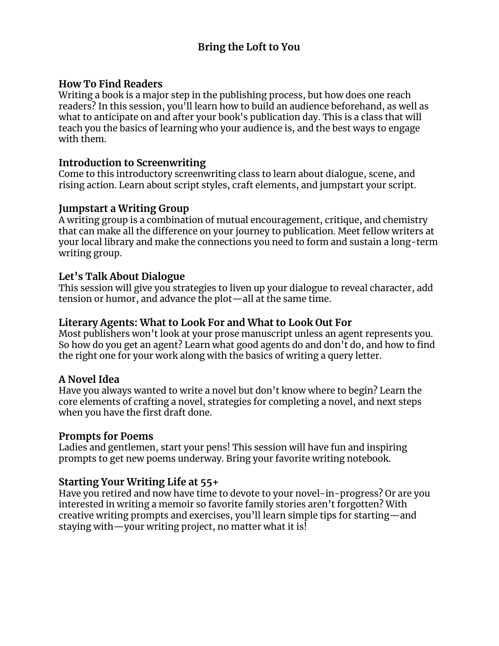## **How To Find Readers**

Writing a book is a major step in the publishing process, but how does one reach readers? In this session, you'll learn how to build an audience beforehand, as well as what to anticipate on and after your book's publication day. This is a class that will teach you the basics of learning who your audience is, and the best ways to engage with them.

#### **Introduction to Screenwriting**

Come to this introductory screenwriting class to learn about dialogue, scene, and rising action. Learn about script styles, craft elements, and jumpstart your script.

#### **Jumpstart a Writing Group**

A writing group is a combination of mutual encouragement, critique, and chemistry that can make all the difference on your journey to publication. Meet fellow writers at your local library and make the connections you need to form and sustain a long-term writing group.

## **Let's Talk About Dialogue**

This session will give you strategies to liven up your dialogue to reveal character, add tension or humor, and advance the plot—all at the same time.

#### **Literary Agents: What to Look For and What to Look Out For**

Most publishers won't look at your prose manuscript unless an agent represents you. So how do you get an agent? Learn what good agents do and don't do, and how to find the right one for your work along with the basics of writing a query letter.

#### **A Novel Idea**

Have you always wanted to write a novel but don't know where to begin? Learn the core elements of crafting a novel, strategies for completing a novel, and next steps when you have the first draft done.

#### **Prompts for Poems**

Ladies and gentlemen, start your pens! This session will have fun and inspiring prompts to get new poems underway. Bring your favorite writing notebook.

## **Starting Your Writing Life at 55+**

Have you retired and now have time to devote to your novel-in-progress? Or are you interested in writing a memoir so favorite family stories aren't forgotten? With creative writing prompts and exercises, you'll learn simple tips for starting—and staying with—your writing project, no matter what it is!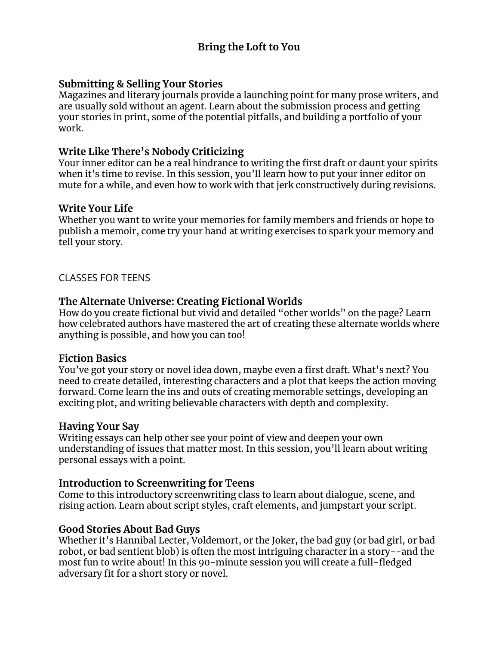# **Submitting & Selling Your Stories**

Magazines and literary journals provide a launching point for many prose writers, and are usually sold without an agent. Learn about the submission process and getting your stories in print, some of the potential pitfalls, and building a portfolio of your work.

# **Write Like There's Nobody Criticizing**

Your inner editor can be a real hindrance to writing the first draft or daunt your spirits when it's time to revise. In this session, you'll learn how to put your inner editor on mute for a while, and even how to work with that jerk constructively during revisions.

## **Write Your Life**

Whether you want to write your memories for family members and friends or hope to publish a memoir, come try your hand at writing exercises to spark your memory and tell your story.

# CLASSES FOR TEENS

# **The Alternate Universe: Creating Fictional Worlds**

How do you create fictional but vivid and detailed "other worlds" on the page? Learn how celebrated authors have mastered the art of creating these alternate worlds where anything is possible, and how you can too!

## **Fiction Basics**

You've got your story or novel idea down, maybe even a first draft. What's next? You need to create detailed, interesting characters and a plot that keeps the action moving forward. Come learn the ins and outs of creating memorable settings, developing an exciting plot, and writing believable characters with depth and complexity.

## **Having Your Say**

Writing essays can help other see your point of view and deepen your own understanding of issues that matter most. In this session, you'll learn about writing personal essays with a point.

## **Introduction to Screenwriting for Teens**

Come to this introductory screenwriting class to learn about dialogue, scene, and rising action. Learn about script styles, craft elements, and jumpstart your script.

## **Good Stories About Bad Guys**

Whether it's Hannibal Lecter, Voldemort, or the Joker, the bad guy (or bad girl, or bad robot, or bad sentient blob) is often the most intriguing character in a story--and the most fun to write about! In this 90-minute session you will create a full-fledged adversary fit for a short story or novel.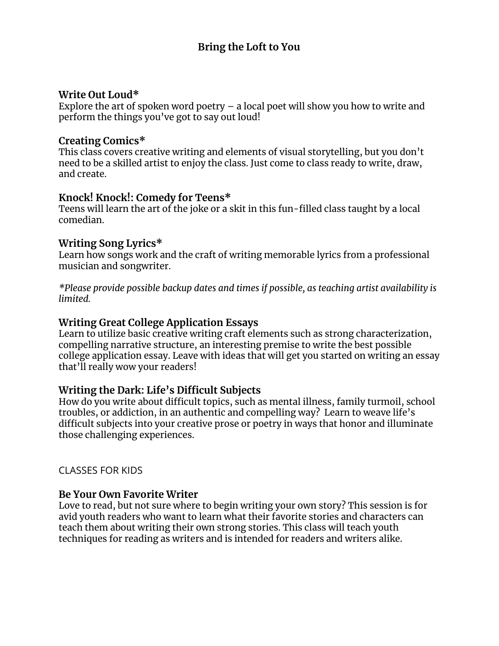#### **Write Out Loud\***

Explore the art of spoken word poetry  $-$  a local poet will show you how to write and perform the things you've got to say out loud!

#### **Creating Comics\***

This class covers creative writing and elements of visual storytelling, but you don't need to be a skilled artist to enjoy the class. Just come to class ready to write, draw, and create.

## **Knock! Knock!: Comedy for Teens\***

Teens will learn the art of the joke or a skit in this fun-filled class taught by a local comedian.

#### **Writing Song Lyrics\***

Learn how songs work and the craft of writing memorable lyrics from a professional musician and songwriter.

*\*Please provide possible backup dates and times if possible, as teaching artist availability is limited.*

#### **Writing Great College Application Essays**

Learn to utilize basic creative writing craft elements such as strong characterization, compelling narrative structure, an interesting premise to write the best possible college application essay. Leave with ideas that will get you started on writing an essay that'll really wow your readers!

## **Writing the Dark: Life's Difficult Subjects**

How do you write about difficult topics, such as mental illness, family turmoil, school troubles, or addiction, in an authentic and compelling way? Learn to weave life's difficult subjects into your creative prose or poetry in ways that honor and illuminate those challenging experiences.

## CLASSES FOR KIDS

## **Be Your Own Favorite Writer**

Love to read, but not sure where to begin writing your own story? This session is for avid youth readers who want to learn what their favorite stories and characters can teach them about writing their own strong stories. This class will teach youth techniques for reading as writers and is intended for readers and writers alike.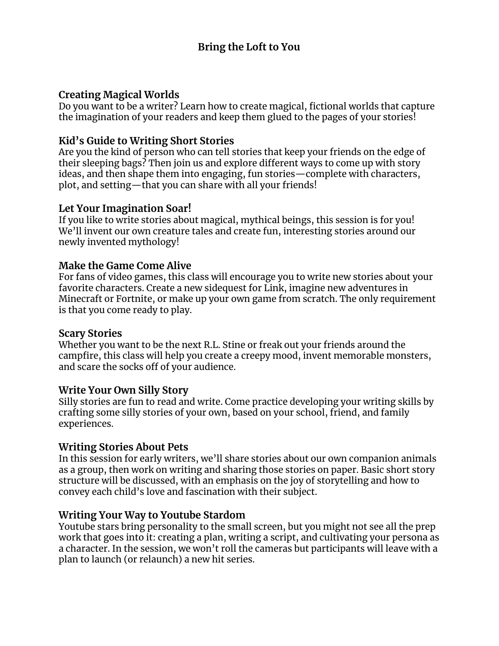## **Creating Magical Worlds**

Do you want to be a writer? Learn how to create magical, fictional worlds that capture the imagination of your readers and keep them glued to the pages of your stories!

# **Kid's Guide to Writing Short Stories**

Are you the kind of person who can tell stories that keep your friends on the edge of their sleeping bags? Then join us and explore different ways to come up with story ideas, and then shape them into engaging, fun stories—complete with characters, plot, and setting—that you can share with all your friends!

# **Let Your Imagination Soar!**

If you like to write stories about magical, mythical beings, this session is for you! We'll invent our own creature tales and create fun, interesting stories around our newly invented mythology!

# **Make the Game Come Alive**

For fans of video games, this class will encourage you to write new stories about your favorite characters. Create a new sidequest for Link, imagine new adventures in Minecraft or Fortnite, or make up your own game from scratch. The only requirement is that you come ready to play.

## **Scary Stories**

Whether you want to be the next R.L. Stine or freak out your friends around the campfire, this class will help you create a creepy mood, invent memorable monsters, and scare the socks off of your audience.

## **Write Your Own Silly Story**

Silly stories are fun to read and write. Come practice developing your writing skills by crafting some silly stories of your own, based on your school, friend, and family experiences.

## **Writing Stories About Pets**

In this session for early writers, we'll share stories about our own companion animals as a group, then work on writing and sharing those stories on paper. Basic short story structure will be discussed, with an emphasis on the joy of storytelling and how to convey each child's love and fascination with their subject.

## **Writing Your Way to Youtube Stardom**

Youtube stars bring personality to the small screen, but you might not see all the prep work that goes into it: creating a plan, writing a script, and cultivating your persona as a character. In the session, we won't roll the cameras but participants will leave with a plan to launch (or relaunch) a new hit series.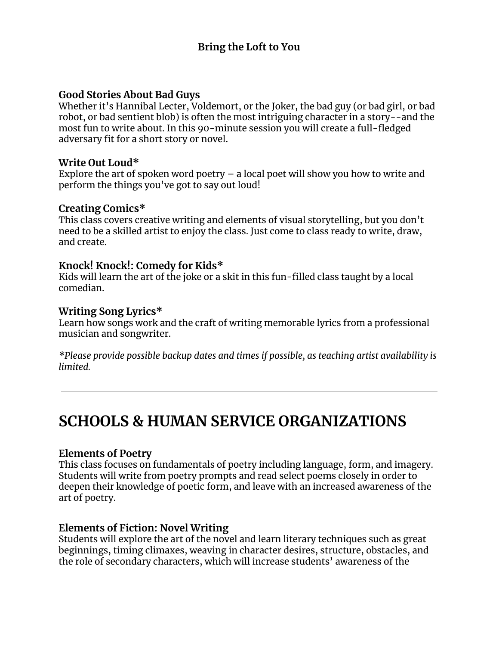#### **Good Stories About Bad Guys**

Whether it's Hannibal Lecter, Voldemort, or the Joker, the bad guy (or bad girl, or bad robot, or bad sentient blob) is often the most intriguing character in a story--and the most fun to write about. In this 90-minute session you will create a full-fledged adversary fit for a short story or novel.

#### **Write Out Loud\***

Explore the art of spoken word poetry  $-$  a local poet will show you how to write and perform the things you've got to say out loud!

#### **Creating Comics\***

This class covers creative writing and elements of visual storytelling, but you don't need to be a skilled artist to enjoy the class. Just come to class ready to write, draw, and create.

## **Knock! Knock!: Comedy for Kids\***

Kids will learn the art of the joke or a skit in this fun-filled class taught by a local comedian.

#### **Writing Song Lyrics\***

Learn how songs work and the craft of writing memorable lyrics from a professional musician and songwriter.

*\*Please provide possible backup dates and times if possible, as teaching artist availability is limited.*

# **SCHOOLS & HUMAN SERVICE ORGANIZATIONS**

#### **Elements of Poetry**

This class focuses on fundamentals of poetry including language, form, and imagery. Students will write from poetry prompts and read select poems closely in order to deepen their knowledge of poetic form, and leave with an increased awareness of the art of poetry.

## **Elements of Fiction: Novel Writing**

Students will explore the art of the novel and learn literary techniques such as great beginnings, timing climaxes, weaving in character desires, structure, obstacles, and the role of secondary characters, which will increase students' awareness of the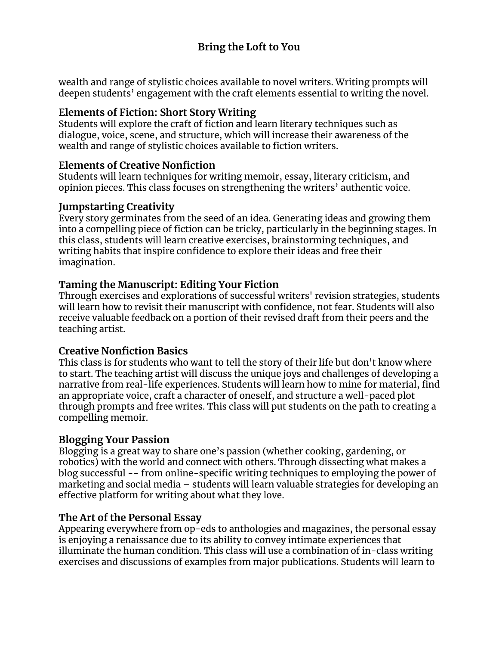wealth and range of stylistic choices available to novel writers. Writing prompts will deepen students' engagement with the craft elements essential to writing the novel.

# **Elements of Fiction: Short Story Writing**

Students will explore the craft of fiction and learn literary techniques such as dialogue, voice, scene, and structure, which will increase their awareness of the wealth and range of stylistic choices available to fiction writers.

# **Elements of Creative Nonfiction**

Students will learn techniques for writing memoir, essay, literary criticism, and opinion pieces. This class focuses on strengthening the writers' authentic voice.

## **Jumpstarting Creativity**

Every story germinates from the seed of an idea. Generating ideas and growing them into a compelling piece of fiction can be tricky, particularly in the beginning stages. In this class, students will learn creative exercises, brainstorming techniques, and writing habits that inspire confidence to explore their ideas and free their imagination.

# **Taming the Manuscript: Editing Your Fiction**

Through exercises and explorations of successful writers' revision strategies, students will learn how to revisit their manuscript with confidence, not fear. Students will also receive valuable feedback on a portion of their revised draft from their peers and the teaching artist.

# **Creative Nonfiction Basics**

This class is for students who want to tell the story of their life but don't know where to start. The teaching artist will discuss the unique joys and challenges of developing a narrative from real-life experiences. Students will learn how to mine for material, find an appropriate voice, craft a character of oneself, and structure a well-paced plot through prompts and free writes. This class will put students on the path to creating a compelling memoir.

# **Blogging Your Passion**

Blogging is a great way to share one's passion (whether cooking, gardening, or robotics) with the world and connect with others. Through dissecting what makes a blog successful -- from online-specific writing techniques to employing the power of marketing and social media – students will learn valuable strategies for developing an effective platform for writing about what they love.

# **The Art of the Personal Essay**

Appearing everywhere from op-eds to anthologies and magazines, the personal essay is enjoying a renaissance due to its ability to convey intimate experiences that illuminate the human condition. This class will use a combination of in-class writing exercises and discussions of examples from major publications. Students will learn to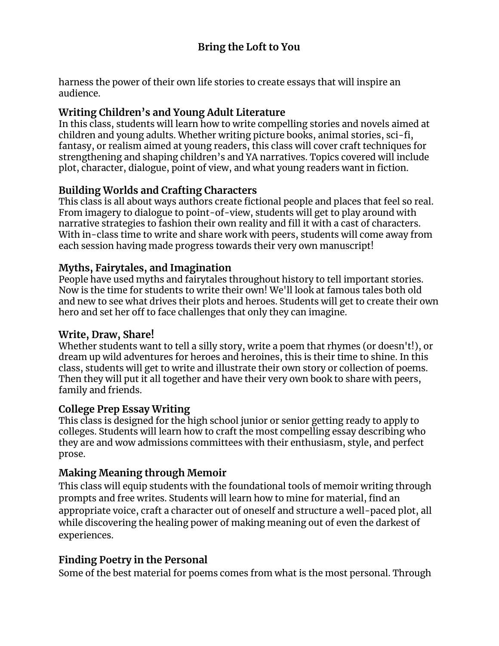harness the power of their own life stories to create essays that will inspire an audience.

# **Writing Children's and Young Adult Literature**

In this class, students will learn how to write compelling stories and novels aimed at children and young adults. Whether writing picture books, animal stories, sci-fi, fantasy, or realism aimed at young readers, this class will cover craft techniques for strengthening and shaping children's and YA narratives. Topics covered will include plot, character, dialogue, point of view, and what young readers want in fiction.

# **Building Worlds and Crafting Characters**

This class is all about ways authors create fictional people and places that feel so real. From imagery to dialogue to point-of-view, students will get to play around with narrative strategies to fashion their own reality and fill it with a cast of characters. With in-class time to write and share work with peers, students will come away from each session having made progress towards their very own manuscript!

# **Myths, Fairytales, and Imagination**

People have used myths and fairytales throughout history to tell important stories. Now is the time for students to write their own! We'll look at famous tales both old and new to see what drives their plots and heroes. Students will get to create their own hero and set her off to face challenges that only they can imagine.

## **Write, Draw, Share!**

Whether students want to tell a silly story, write a poem that rhymes (or doesn't!), or dream up wild adventures for heroes and heroines, this is their time to shine. In this class, students will get to write and illustrate their own story or collection of poems. Then they will put it all together and have their very own book to share with peers, family and friends.

## **College Prep Essay Writing**

This class is designed for the high school junior or senior getting ready to apply to colleges. Students will learn how to craft the most compelling essay describing who they are and wow admissions committees with their enthusiasm, style, and perfect prose.

# **Making Meaning through Memoir**

This class will equip students with the foundational tools of memoir writing through prompts and free writes. Students will learn how to mine for material, find an appropriate voice, craft a character out of oneself and structure a well-paced plot, all while discovering the healing power of making meaning out of even the darkest of experiences.

# **Finding Poetry in the Personal**

Some of the best material for poems comes from what is the most personal. Through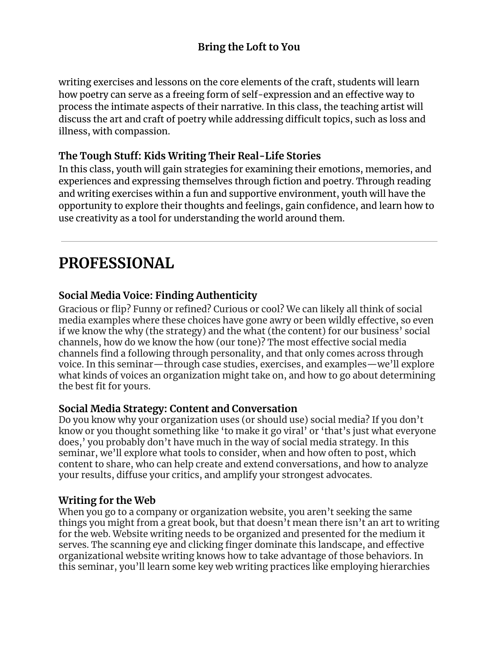writing exercises and lessons on the core elements of the craft, students will learn how poetry can serve as a freeing form of self-expression and an effective way to process the intimate aspects of their narrative. In this class, the teaching artist will discuss the art and craft of poetry while addressing difficult topics, such as loss and illness, with compassion.

# **The Tough Stuff: Kids Writing Their Real-Life Stories**

In this class, youth will gain strategies for examining their emotions, memories, and experiences and expressing themselves through fiction and poetry. Through reading and writing exercises within a fun and supportive environment, youth will have the opportunity to explore their thoughts and feelings, gain confidence, and learn how to use creativity as a tool for understanding the world around them.

# **PROFESSIONAL**

# **Social Media Voice: Finding Authenticity**

Gracious or flip? Funny or refined? Curious or cool? We can likely all think of social media examples where these choices have gone awry or been wildly effective, so even if we know the why (the strategy) and the what (the content) for our business' social channels, how do we know the how (our tone)? The most effective social media channels find a following through personality, and that only comes across through voice. In this seminar—through case studies, exercises, and examples—we'll explore what kinds of voices an organization might take on, and how to go about determining the best fit for yours.

## **Social Media Strategy: Content and Conversation**

Do you know why your organization uses (or should use) social media? If you don't know or you thought something like 'to make it go viral' or 'that's just what everyone does,' you probably don't have much in the way of social media strategy. In this seminar, we'll explore what tools to consider, when and how often to post, which content to share, who can help create and extend conversations, and how to analyze your results, diffuse your critics, and amplify your strongest advocates.

# **Writing for the Web**

When you go to a company or organization website, you aren't seeking the same things you might from a great book, but that doesn't mean there isn't an art to writing for the web. Website writing needs to be organized and presented for the medium it serves. The scanning eye and clicking finger dominate this landscape, and effective organizational website writing knows how to take advantage of those behaviors. In this seminar, you'll learn some key web writing practices like employing hierarchies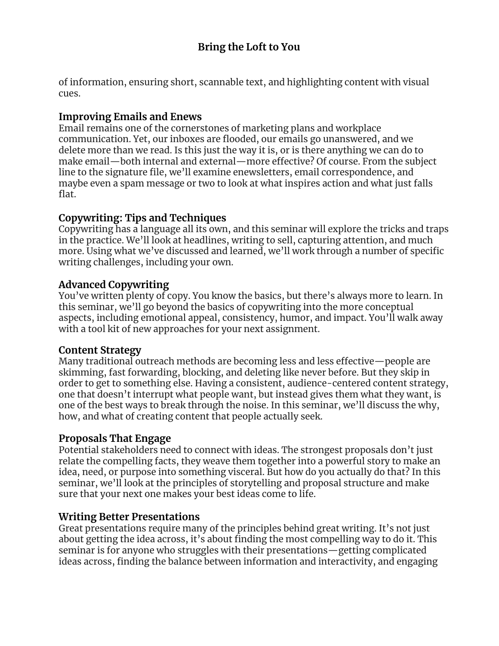of information, ensuring short, scannable text, and highlighting content with visual cues.

# **Improving Emails and Enews**

Email remains one of the cornerstones of marketing plans and workplace communication. Yet, our inboxes are flooded, our emails go unanswered, and we delete more than we read. Is this just the way it is, or is there anything we can do to make email—both internal and external—more effective? Of course. From the subject line to the signature file, we'll examine enewsletters, email correspondence, and maybe even a spam message or two to look at what inspires action and what just falls flat.

# **Copywriting: Tips and Techniques**

Copywriting has a language all its own, and this seminar will explore the tricks and traps in the practice. We'll look at headlines, writing to sell, capturing attention, and much more. Using what we've discussed and learned, we'll work through a number of specific writing challenges, including your own.

# **Advanced Copywriting**

You've written plenty of copy. You know the basics, but there's always more to learn. In this seminar, we'll go beyond the basics of copywriting into the more conceptual aspects, including emotional appeal, consistency, humor, and impact. You'll walk away with a tool kit of new approaches for your next assignment.

# **Content Strategy**

Many traditional outreach methods are becoming less and less effective—people are skimming, fast forwarding, blocking, and deleting like never before. But they skip in order to get to something else. Having a consistent, audience-centered content strategy, one that doesn't interrupt what people want, but instead gives them what they want, is one of the best ways to break through the noise. In this seminar, we'll discuss the why, how, and what of creating content that people actually seek.

# **Proposals That Engage**

Potential stakeholders need to connect with ideas. The strongest proposals don't just relate the compelling facts, they weave them together into a powerful story to make an idea, need, or purpose into something visceral. But how do you actually do that? In this seminar, we'll look at the principles of storytelling and proposal structure and make sure that your next one makes your best ideas come to life.

# **Writing Better Presentations**

Great presentations require many of the principles behind great writing. It's not just about getting the idea across, it's about finding the most compelling way to do it. This seminar is for anyone who struggles with their presentations—getting complicated ideas across, finding the balance between information and interactivity, and engaging